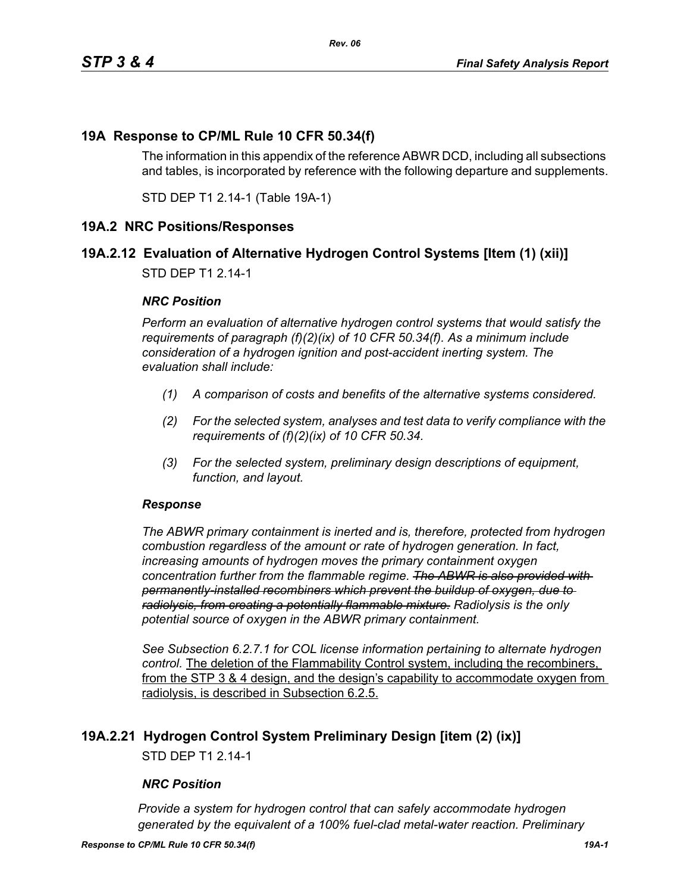## **19A Response to CP/ML Rule 10 CFR 50.34(f)**

The information in this appendix of the reference ABWR DCD, including all subsections and tables, is incorporated by reference with the following departure and supplements.

STD DEP T1 2.14-1 (Table 19A-1)

#### **19A.2 NRC Positions/Responses**

## **19A.2.12 Evaluation of Alternative Hydrogen Control Systems [Item (1) (xii)]**

STD DEP T1 2.14-1

#### *NRC Position*

*Perform an evaluation of alternative hydrogen control systems that would satisfy the requirements of paragraph (f)(2)(ix) of 10 CFR 50.34(f). As a minimum include consideration of a hydrogen ignition and post-accident inerting system. The evaluation shall include:*

- *(1) A comparison of costs and benefits of the alternative systems considered.*
- *(2) For the selected system, analyses and test data to verify compliance with the requirements of (f)(2)(ix) of 10 CFR 50.34.*
- *(3) For the selected system, preliminary design descriptions of equipment, function, and layout.*

#### *Response*

*The ABWR primary containment is inerted and is, therefore, protected from hydrogen combustion regardless of the amount or rate of hydrogen generation. In fact, increasing amounts of hydrogen moves the primary containment oxygen concentration further from the flammable regime. The ABWR is also provided with permanently-installed recombiners which prevent the buildup of oxygen, due to radiolysis, from creating a potentially flammable mixture. Radiolysis is the only potential source of oxygen in the ABWR primary containment.*

*See Subsection 6.2.7.1 for COL license information pertaining to alternate hydrogen control.* The deletion of the Flammability Control system, including the recombiners, from the STP 3 & 4 design, and the design's capability to accommodate oxygen from radiolysis, is described in Subsection 6.2.5.

#### **19A.2.21 Hydrogen Control System Preliminary Design [item (2) (ix)]**

STD DEP T1 2.14-1

#### *NRC Position*

*Provide a system for hydrogen control that can safely accommodate hydrogen generated by the equivalent of a 100% fuel-clad metal-water reaction. Preliminary*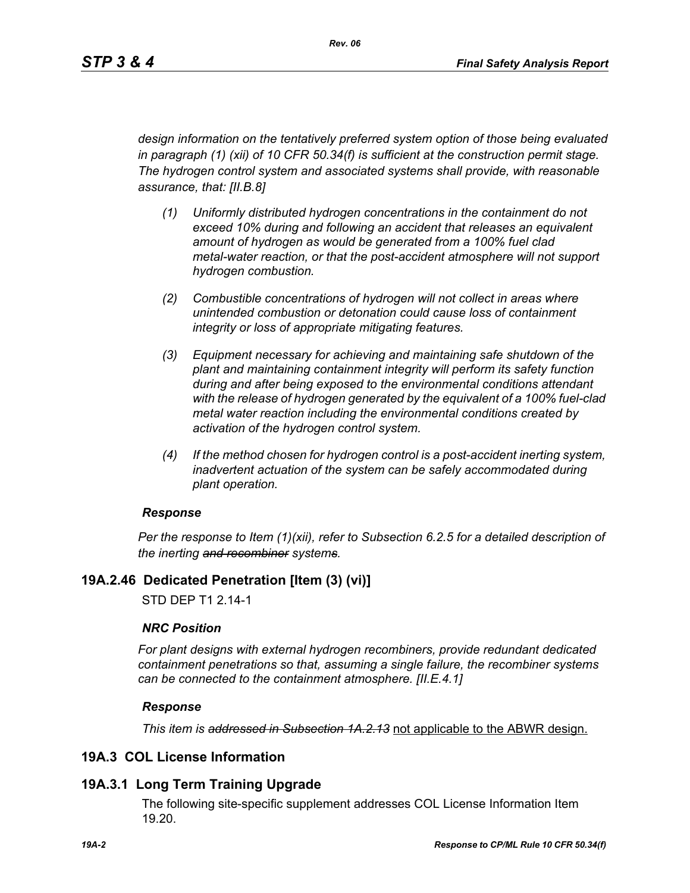*design information on the tentatively preferred system option of those being evaluated in paragraph (1) (xii) of 10 CFR 50.34(f) is sufficient at the construction permit stage. The hydrogen control system and associated systems shall provide, with reasonable assurance, that: [II.B.8]*

- *(1) Uniformly distributed hydrogen concentrations in the containment do not exceed 10% during and following an accident that releases an equivalent amount of hydrogen as would be generated from a 100% fuel clad metal-water reaction, or that the post-accident atmosphere will not support hydrogen combustion.*
- *(2) Combustible concentrations of hydrogen will not collect in areas where unintended combustion or detonation could cause loss of containment integrity or loss of appropriate mitigating features.*
- *(3) Equipment necessary for achieving and maintaining safe shutdown of the plant and maintaining containment integrity will perform its safety function during and after being exposed to the environmental conditions attendant with the release of hydrogen generated by the equivalent of a 100% fuel-clad metal water reaction including the environmental conditions created by activation of the hydrogen control system.*
- *(4) If the method chosen for hydrogen control is a post-accident inerting system, inadvertent actuation of the system can be safely accommodated during plant operation.*

#### *Response*

*Per the response to Item (1)(xii), refer to Subsection 6.2.5 for a detailed description of the inerting and recombiner systems.*

## **19A.2.46 Dedicated Penetration [Item (3) (vi)]**

STD DEP T1 2.14-1

#### *NRC Position*

*For plant designs with external hydrogen recombiners, provide redundant dedicated containment penetrations so that, assuming a single failure, the recombiner systems can be connected to the containment atmosphere. [II.E.4.1]*

#### *Response*

*This item is addressed in Subsection 1A.2.13* not applicable to the ABWR design.

## **19A.3 COL License Information**

## **19A.3.1 Long Term Training Upgrade**

The following site-specific supplement addresses COL License Information Item 19.20.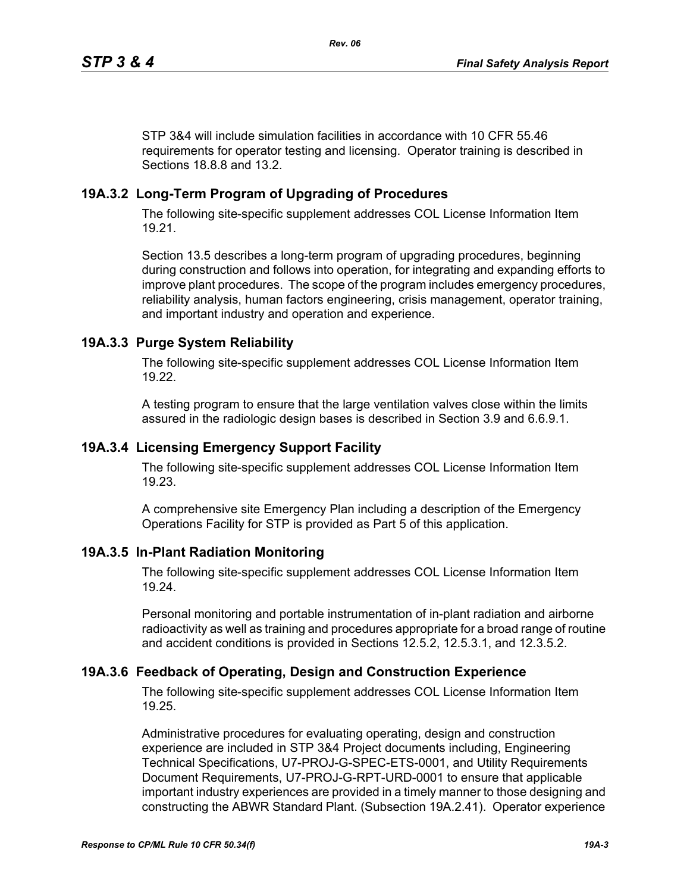STP 3&4 will include simulation facilities in accordance with 10 CFR 55.46 requirements for operator testing and licensing. Operator training is described in Sections 18.8.8 and 13.2.

# **19A.3.2 Long-Term Program of Upgrading of Procedures**

The following site-specific supplement addresses COL License Information Item 19.21.

Section 13.5 describes a long-term program of upgrading procedures, beginning during construction and follows into operation, for integrating and expanding efforts to improve plant procedures. The scope of the program includes emergency procedures, reliability analysis, human factors engineering, crisis management, operator training, and important industry and operation and experience.

# **19A.3.3 Purge System Reliability**

The following site-specific supplement addresses COL License Information Item 19.22.

A testing program to ensure that the large ventilation valves close within the limits assured in the radiologic design bases is described in Section 3.9 and 6.6.9.1.

## **19A.3.4 Licensing Emergency Support Facility**

The following site-specific supplement addresses COL License Information Item 19.23.

A comprehensive site Emergency Plan including a description of the Emergency Operations Facility for STP is provided as Part 5 of this application.

## **19A.3.5 In-Plant Radiation Monitoring**

The following site-specific supplement addresses COL License Information Item 19.24.

Personal monitoring and portable instrumentation of in-plant radiation and airborne radioactivity as well as training and procedures appropriate for a broad range of routine and accident conditions is provided in Sections 12.5.2, 12.5.3.1, and 12.3.5.2.

## **19A.3.6 Feedback of Operating, Design and Construction Experience**

The following site-specific supplement addresses COL License Information Item 19.25.

Administrative procedures for evaluating operating, design and construction experience are included in STP 3&4 Project documents including, Engineering Technical Specifications, U7-PROJ-G-SPEC-ETS-0001, and Utility Requirements Document Requirements, U7-PROJ-G-RPT-URD-0001 to ensure that applicable important industry experiences are provided in a timely manner to those designing and constructing the ABWR Standard Plant. (Subsection 19A.2.41). Operator experience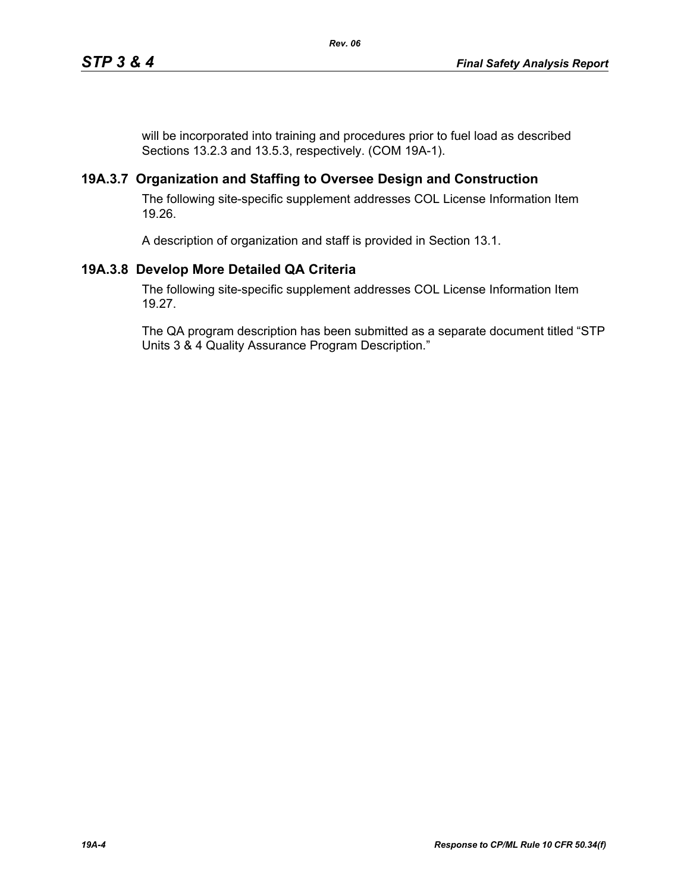will be incorporated into training and procedures prior to fuel load as described Sections 13.2.3 and 13.5.3, respectively. (COM 19A-1).

## **19A.3.7 Organization and Staffing to Oversee Design and Construction**

The following site-specific supplement addresses COL License Information Item 19.26.

A description of organization and staff is provided in Section 13.1.

# **19A.3.8 Develop More Detailed QA Criteria**

The following site-specific supplement addresses COL License Information Item 19.27.

The QA program description has been submitted as a separate document titled "STP Units 3 & 4 Quality Assurance Program Description."